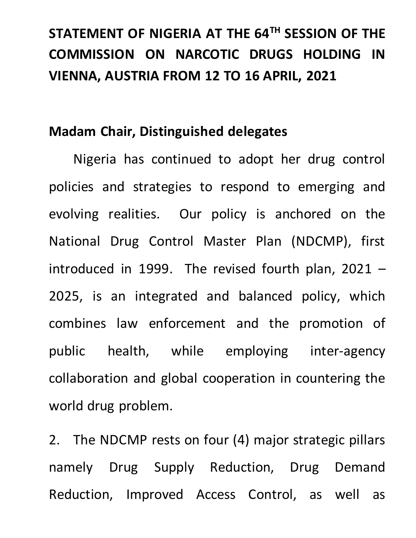## **STATEMENT OF NIGERIA AT THE 64TH SESSION OF THE COMMISSION ON NARCOTIC DRUGS HOLDING IN VIENNA, AUSTRIA FROM 12 TO 16 APRIL, 2021**

## **Madam Chair, Distinguished delegates**

Nigeria has continued to adopt her drug control policies and strategies to respond to emerging and evolving realities. Our policy is anchored on the National Drug Control Master Plan (NDCMP), first introduced in 1999. The revised fourth plan, 2021 – 2025, is an integrated and balanced policy, which combines law enforcement and the promotion of public health, while employing inter-agency collaboration and global cooperation in countering the world drug problem.

2. The NDCMP rests on four (4) major strategic pillars namely Drug Supply Reduction, Drug Demand Reduction, Improved Access Control, as well as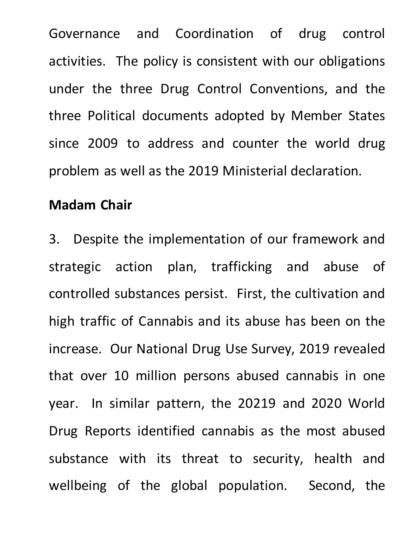Governance and Coordination of drug control activities. The policy is consistent with our obligations under the three Drug Control Conventions, and the three Political documents adopted by Member States since 2009 to address and counter the world drug problem as well as the 2019 Ministerial declaration.

## **Madam Chair**

3. Despite the implementation of our framework and strategic action plan, trafficking and abuse of controlled substances persist. First, the cultivation and high traffic of Cannabis and its abuse has been on the increase. Our National Drug Use Survey, 2019 revealed that over 10 million persons abused cannabis in one year. In similar pattern, the 20219 and 2020 World Drug Reports identified cannabis as the most abused substance with its threat to security, health and wellbeing of the global population. Second, the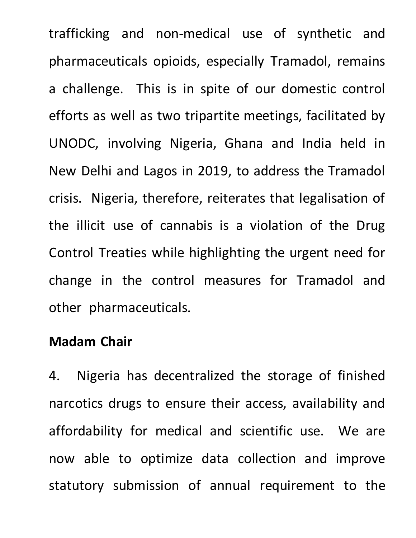trafficking and non-medical use of synthetic and pharmaceuticals opioids, especially Tramadol, remains a challenge. This is in spite of our domestic control efforts as well as two tripartite meetings, facilitated by UNODC, involving Nigeria, Ghana and India held in New Delhi and Lagos in 2019, to address the Tramadol crisis. Nigeria, therefore, reiterates that legalisation of the illicit use of cannabis is a violation of the Drug Control Treaties while highlighting the urgent need for change in the control measures for Tramadol and other pharmaceuticals.

## **Madam Chair**

4. Nigeria has decentralized the storage of finished narcotics drugs to ensure their access, availability and affordability for medical and scientific use. We are now able to optimize data collection and improve statutory submission of annual requirement to the